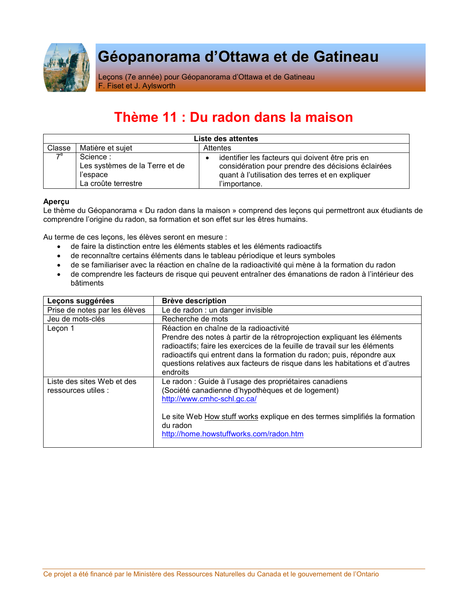

# Géopanorama d'Ottawa et de Gatineau

Leçons (7e année) pour Géopanorama d'Ottawa et de Gatineau F. Fiset et J. Aylsworth

## Thème 11 : Du radon dans la maison

| Liste des attentes |                                                                               |                                                                                                                                                                             |  |  |  |  |  |  |
|--------------------|-------------------------------------------------------------------------------|-----------------------------------------------------------------------------------------------------------------------------------------------------------------------------|--|--|--|--|--|--|
| Classe             | Matière et sujet                                                              | <b>Attentes</b>                                                                                                                                                             |  |  |  |  |  |  |
| $\mathcal{P}^e$    | Science:<br>Les systèmes de la Terre et de<br>l'espace<br>La croûte terrestre | identifier les facteurs qui doivent être pris en<br>considération pour prendre des décisions éclairées<br>quant à l'utilisation des terres et en expliquer<br>l'importance. |  |  |  |  |  |  |

#### Aperçu

Le thème du Géopanorama « Du radon dans la maison » comprend des leçons qui permettront aux étudiants de comprendre l'origine du radon, sa formation et son effet sur les êtres humains.

Au terme de ces leçons, les élèves seront en mesure :

- de faire la distinction entre les éléments stables et les éléments radioactifs
- · de reconnaître certains éléments dans le tableau périodique et leurs symboles
- · de se familiariser avec la réaction en chaîne de la radioactivité qui mène à la formation du radon
- · de comprendre les facteurs de risque qui peuvent entraîner des émanations de radon à l'intérieur des **bâtiments**

| Leçons suggérées                                  | <b>Brève description</b>                                                                                                                                                                                                                                                                                                                                              |  |  |  |  |
|---------------------------------------------------|-----------------------------------------------------------------------------------------------------------------------------------------------------------------------------------------------------------------------------------------------------------------------------------------------------------------------------------------------------------------------|--|--|--|--|
| Prise de notes par les élèves                     | Le de radon : un danger invisible                                                                                                                                                                                                                                                                                                                                     |  |  |  |  |
| Jeu de mots-clés                                  | Recherche de mots                                                                                                                                                                                                                                                                                                                                                     |  |  |  |  |
| Leçon 1                                           | Réaction en chaîne de la radioactivité<br>Prendre des notes à partir de la rétroprojection expliquant les éléments<br>radioactifs; faire les exercices de la feuille de travail sur les éléments<br>radioactifs qui entrent dans la formation du radon; puis, répondre aux<br>questions relatives aux facteurs de risque dans les habitations et d'autres<br>endroits |  |  |  |  |
| Liste des sites Web et des<br>ressources utiles : | Le radon : Guide à l'usage des propriétaires canadiens<br>(Société canadienne d'hypothèques et de logement)<br>http://www.cmhc-schl.gc.ca/<br>Le site Web How stuff works explique en des termes simplifiés la formation<br>du radon<br>http://home.howstuffworks.com/radon.htm                                                                                       |  |  |  |  |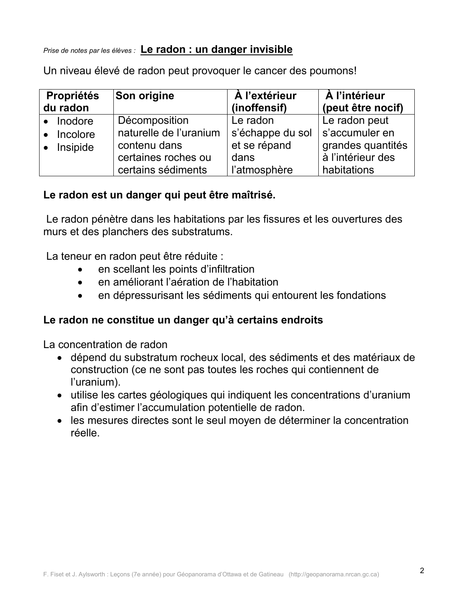Prise de notes par les élèves : Le radon : un danger invisible

Un niveau élevé de radon peut provoquer le cancer des poumons!

| <b>Propriétés</b>                                        | <b>Son origine</b>                                                                                   | A l'extérieur                                                        | À l'intérieur                                                                            |  |  |  |
|----------------------------------------------------------|------------------------------------------------------------------------------------------------------|----------------------------------------------------------------------|------------------------------------------------------------------------------------------|--|--|--|
| du radon                                                 |                                                                                                      | (inoffensif)                                                         | (peut être nocif)                                                                        |  |  |  |
| $\bullet$ Inodore<br>Incolore<br>$\bullet$<br>• Insipide | Décomposition<br>naturelle de l'uranium<br>contenu dans<br>certaines roches ou<br>certains sédiments | Le radon<br>s'échappe du sol<br>et se répand<br>dans<br>l'atmosphère | Le radon peut<br>s'accumuler en<br>grandes quantités<br>à l'intérieur des<br>habitations |  |  |  |

### Le radon est un danger qui peut être maîtrisé.

Le radon pénètre dans les habitations par les fissures et les ouvertures des murs et des planchers des substratums.

La teneur en radon peut être réduite :

- en scellant les points d'infiltration
- en améliorant l'aération de l'habitation
- en dépressurisant les sédiments qui entourent les fondations  $\bullet$

### Le radon ne constitue un danger qu'à certains endroits

La concentration de radon

- · dépend du substratum rocheux local, des sédiments et des matériaux de construction (ce ne sont pas toutes les roches qui contiennent de l'uranium).
- utilise les cartes géologiques qui indiquent les concentrations d'uranium afin d'estimer l'accumulation potentielle de radon.
- les mesures directes sont le seul moven de déterminer la concentration réelle.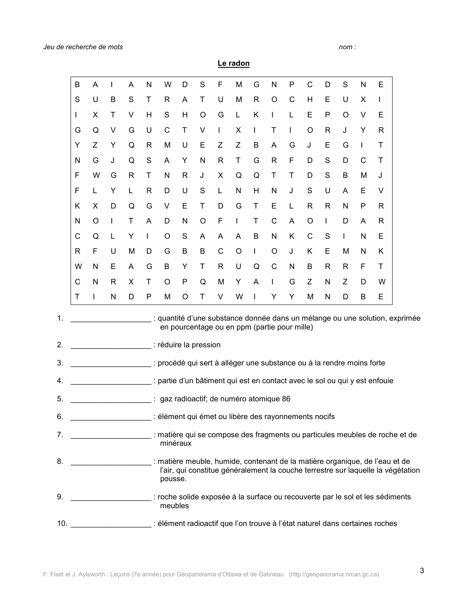$nom:$ 

Le radon

|    | B                                                                                        | Α       | I | A            | N                                                                                                                                                                        | W           | D            | S       | F            | M            | G | N            | P                                            | C           | D            | S | N            | E                                                                          |                                                                             |
|----|------------------------------------------------------------------------------------------|---------|---|--------------|--------------------------------------------------------------------------------------------------------------------------------------------------------------------------|-------------|--------------|---------|--------------|--------------|---|--------------|----------------------------------------------|-------------|--------------|---|--------------|----------------------------------------------------------------------------|-----------------------------------------------------------------------------|
|    | S                                                                                        | U       | B | S            | Τ                                                                                                                                                                        | R           | A            | T       | U            | M            | R | $\circ$      | C                                            | H           | E            | U | X            | $\mathsf{I}$                                                               |                                                                             |
|    | I                                                                                        | X       | Τ | V            | H                                                                                                                                                                        | S           | Н            | $\circ$ | G            | L            | Κ | I            | L                                            | Е           | P            | O | V            | Е                                                                          |                                                                             |
|    | G                                                                                        | Q       | V | G            | U                                                                                                                                                                        | $\mathsf C$ | T            | V       | I            | X            | I | T            | L                                            | $\circ$     | $\mathsf{R}$ | J | Υ            | R                                                                          |                                                                             |
|    | Υ                                                                                        | Z       | Υ | Q            | R                                                                                                                                                                        | M           | U            | E       | Z            | Z            | B | A            | G                                            | J           | E            | G | I.           | Τ                                                                          |                                                                             |
|    | N                                                                                        | G       | J | Q            | $\mathbf S$                                                                                                                                                              | A           | Υ            | N       | $\mathsf{R}$ | Τ            | G | $\mathsf{R}$ | F                                            | D           | S            | D | $\mathsf{C}$ | Τ                                                                          |                                                                             |
|    | F                                                                                        | W       | G | $\mathsf{R}$ | Τ                                                                                                                                                                        | N           | $\mathsf{R}$ | J       | Χ            | Q            | Q | T            | Τ                                            | D           | S            | В | M            | J                                                                          |                                                                             |
|    | F                                                                                        | L       | Υ | L            | R                                                                                                                                                                        | D           | U            | S       | L            | N            | Н | N            | J                                            | $\mathbf S$ | U            | A | Ε            | V                                                                          |                                                                             |
|    | Κ                                                                                        | X       | D | Q            | G                                                                                                                                                                        | V           | E            | T       | D            | G            | T | Ε            | L                                            | R           | $\mathsf{R}$ | N | P            | R                                                                          |                                                                             |
|    | N                                                                                        | $\circ$ | T | Τ            | A                                                                                                                                                                        | D           | N            | $\circ$ | F            | $\mathsf{I}$ | Τ | $\mathsf C$  | A                                            | $\circ$     | $\mathbf{I}$ | D | A            | R                                                                          |                                                                             |
|    | C                                                                                        | Q       | L | Υ            | $\mathbf{I}$                                                                                                                                                             | $\circ$     | S            | A       | Α            | A            | B | N            | Κ                                            | $\mathsf C$ | $\mathsf S$  | L | N            | E                                                                          |                                                                             |
|    | R                                                                                        | F       | U | M            | D                                                                                                                                                                        | G           | B            | B       | C            | $\circ$      | I | O            | J                                            | Κ           | Е            | M | N            | Κ                                                                          |                                                                             |
|    | W                                                                                        | Ν       | Е | A            | G                                                                                                                                                                        | B           | Υ            | Τ       | $\mathsf{R}$ | U            | Q | $\mathsf C$  | N                                            | B           | $\mathsf{R}$ | R | F            | Τ                                                                          |                                                                             |
|    | C                                                                                        | N       | R | X            | T                                                                                                                                                                        | $\circ$     | P            | Q       | M            | Y            | A | $\mathsf{I}$ | G                                            | Ζ           | N            | Ζ | D            | W                                                                          |                                                                             |
|    | Τ                                                                                        | L       | N | D            | P                                                                                                                                                                        | M           | O            | T       | V            | W            | L | Υ            | Υ                                            | M           | N            | D | B            | Е                                                                          |                                                                             |
| 1. |                                                                                          |         |   |              |                                                                                                                                                                          |             |              |         |              |              |   |              |                                              |             |              |   |              |                                                                            | : quantité d'une substance donnée dans un mélange ou une solution, exprimée |
|    |                                                                                          |         |   |              |                                                                                                                                                                          |             |              |         |              |              |   |              | en pourcentage ou en ppm (partie pour mille) |             |              |   |              |                                                                            |                                                                             |
| 2. | : réduire la pression                                                                    |         |   |              |                                                                                                                                                                          |             |              |         |              |              |   |              |                                              |             |              |   |              |                                                                            |                                                                             |
| 3. | : procédé qui sert à alléger une substance ou à la rendre moins forte                    |         |   |              |                                                                                                                                                                          |             |              |         |              |              |   |              |                                              |             |              |   |              |                                                                            |                                                                             |
| 4. |                                                                                          |         |   |              |                                                                                                                                                                          |             |              |         |              |              |   |              |                                              |             |              |   |              | : partie d'un bâtiment qui est en contact avec le sol ou qui y est enfouie |                                                                             |
| 5. | gaz radioactif; de numéro atomique 86                                                    |         |   |              |                                                                                                                                                                          |             |              |         |              |              |   |              |                                              |             |              |   |              |                                                                            |                                                                             |
| 6. | : élément qui émet ou libère des rayonnements nocifs                                     |         |   |              |                                                                                                                                                                          |             |              |         |              |              |   |              |                                              |             |              |   |              |                                                                            |                                                                             |
| 7. | : matière qui se compose des fragments ou particules meubles de roche et de<br>minéraux  |         |   |              |                                                                                                                                                                          |             |              |         |              |              |   |              |                                              |             |              |   |              |                                                                            |                                                                             |
| 8. |                                                                                          |         |   |              | matière meuble, humide, contenant de la matière organique, de l'eau et de<br>l'air, qui constitue généralement la couche terrestre sur laquelle la végétation<br>pousse. |             |              |         |              |              |   |              |                                              |             |              |   |              |                                                                            |                                                                             |
| 9. | : roche solide exposée à la surface ou recouverte par le sol et les sédiments<br>meubles |         |   |              |                                                                                                                                                                          |             |              |         |              |              |   |              |                                              |             |              |   |              |                                                                            |                                                                             |

## 10. \_\_\_\_\_\_\_\_\_\_\_\_\_\_\_\_\_\_\_\_\_\_: élément radioactif que l'on trouve à l'état naturel dans certaines roches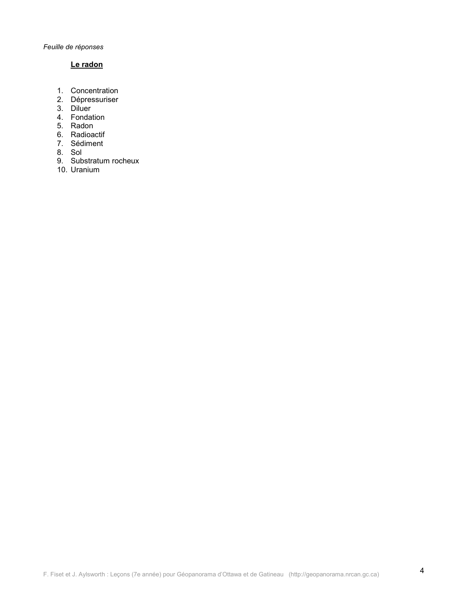### Le radon

- 1. Concentration
- 2. Dépressuriser
- 
- 3. Diluer<br>4. Fondation
- 5. Radon
- 6. Radioactif
- 7. Sédiment
- 8. Sol
- 9. Substratum rocheux<br>10. Uranium
-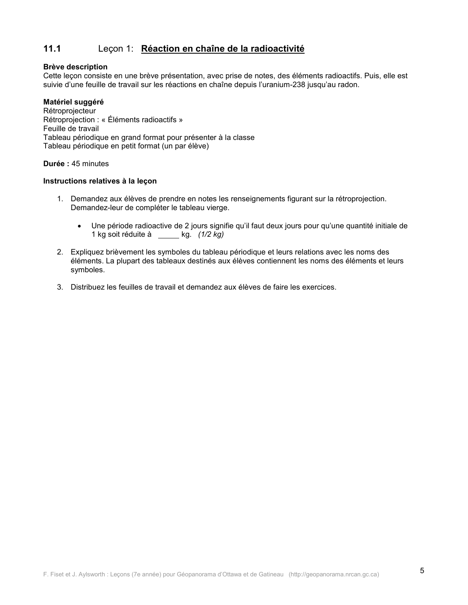#### $11.1$ Leçon 1: Réaction en chaîne de la radioactivité

#### **Brève description**

Cette leçon consiste en une brève présentation, avec prise de notes, des éléments radioactifs. Puis, elle est suivie d'une feuille de travail sur les réactions en chaîne depuis l'uranium-238 jusqu'au radon.

#### Matériel suggéré

Rétroproiecteur Rétroprojection : « Éléments radioactifs » Feuille de travail Tableau périodique en grand format pour présenter à la classe Tableau périodique en petit format (un par élève)

#### Durée : 45 minutes

#### Instructions relatives à la leçon

- 1. Demandez aux élèves de prendre en notes les renseignements figurant sur la rétroprojection. Demandez-leur de compléter le tableau vierge.
	- Une période radioactive de 2 jours signifie qu'il faut deux jours pour qu'une quantité initiale de  $\bullet$ 1 kg soit réduite à \_\_\_\_\_\_ kg. (1/2 kg)
- 2. Expliquez brièvement les symboles du tableau périodique et leurs relations avec les noms des éléments. La plupart des tableaux destinés aux élèves contiennent les noms des éléments et leurs symboles.
- 3. Distribuez les feuilles de travail et demandez aux élèves de faire les exercices.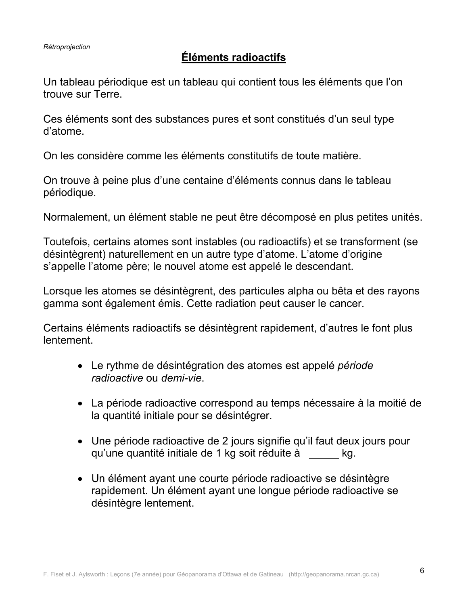## **Éléments radioactifs**

Un tableau périodique est un tableau qui contient tous les éléments que l'on trouve sur Terre.

Ces éléments sont des substances pures et sont constitués d'un seul type d'atome.

On les considère comme les éléments constitutifs de toute matière.

On trouve à peine plus d'une centaine d'éléments connus dans le tableau périodique.

Normalement, un élément stable ne peut être décomposé en plus petites unités.

Toutefois, certains atomes sont instables (ou radioactifs) et se transforment (se désintègrent) naturellement en un autre type d'atome. L'atome d'origine s'appelle l'atome père; le nouvel atome est appelé le descendant.

Lorsque les atomes se désintègrent, des particules alpha ou bêta et des rayons gamma sont également émis. Cette radiation peut causer le cancer.

Certains éléments radioactifs se désintègrent rapidement, d'autres le font plus lentement.

- Le rythme de désintégration des atomes est appelé période radioactive ou demi-vie.
- La période radioactive correspond au temps nécessaire à la moitié de la quantité initiale pour se désintégrer.
- Une période radioactive de 2 jours signifie qu'il faut deux jours pour qu'une quantité initiale de 1 kg soit réduite à les kg.
- Un élément ayant une courte période radioactive se désintègre rapidement. Un élément ayant une longue période radioactive se désintègre lentement.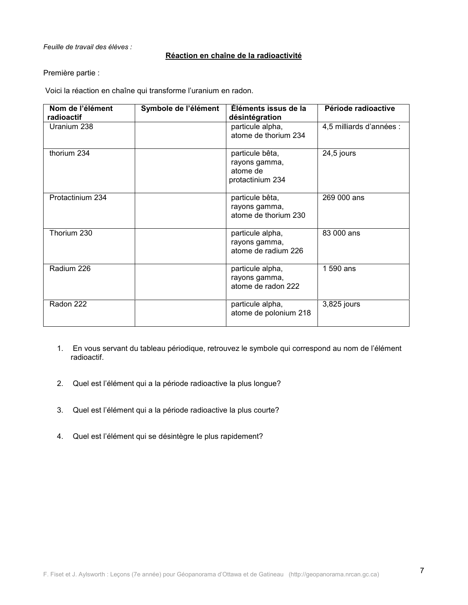#### Feuille de travail des élèves :

#### Réaction en chaîne de la radioactivité

#### Première partie :

Voici la réaction en chaîne qui transforme l'uranium en radon.

| Nom de l'élément<br>radioactif | Symbole de l'élément | Éléments issus de la<br>désintégration                           | Période radioactive      |
|--------------------------------|----------------------|------------------------------------------------------------------|--------------------------|
| Uranium 238                    |                      | particule alpha,<br>atome de thorium 234                         | 4,5 milliards d'années : |
| thorium 234                    |                      | particule bêta,<br>rayons gamma,<br>atome de<br>protactinium 234 | 24,5 jours               |
| Protactinium 234               |                      | particule bêta,<br>rayons gamma,<br>atome de thorium 230         | 269 000 ans              |
| Thorium 230                    |                      | particule alpha,<br>rayons gamma,<br>atome de radium 226         | 83 000 ans               |
| Radium 226                     |                      | particule alpha,<br>rayons gamma,<br>atome de radon 222          | 1 590 ans                |
| Radon 222                      |                      | particule alpha,<br>atome de polonium 218                        | 3,825 jours              |

- 1. En vous servant du tableau périodique, retrouvez le symbole qui correspond au nom de l'élément radioactif.
- 2. Quel est l'élément qui a la période radioactive la plus longue?
- $3<sub>1</sub>$ Quel est l'élément qui a la période radioactive la plus courte?
- 4. Quel est l'élément qui se désintègre le plus rapidement?